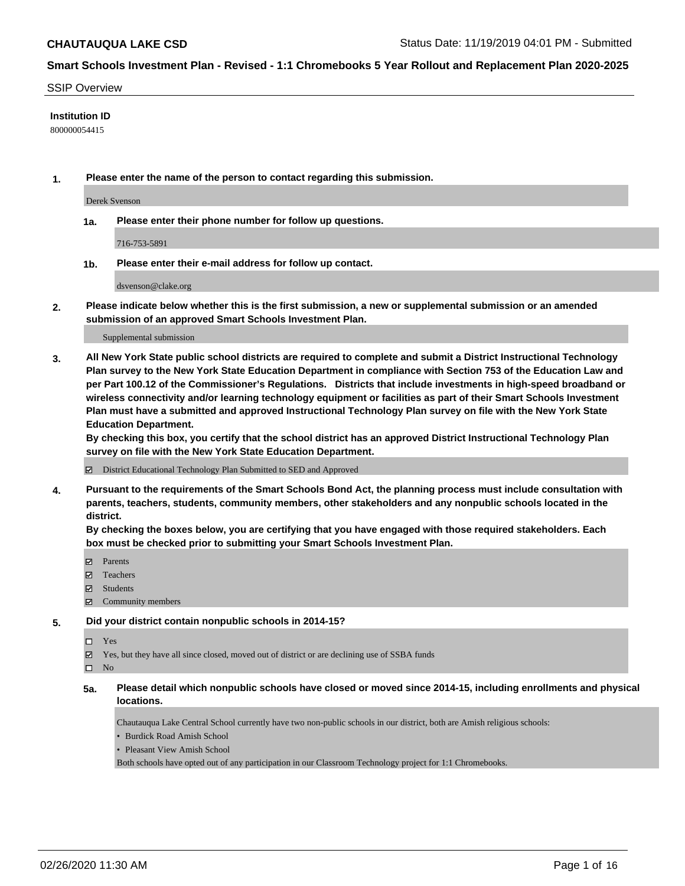#### SSIP Overview

#### **Institution ID**

800000054415

**1. Please enter the name of the person to contact regarding this submission.**

Derek Svenson

**1a. Please enter their phone number for follow up questions.**

716-753-5891

**1b. Please enter their e-mail address for follow up contact.**

dsvenson@clake.org

**2. Please indicate below whether this is the first submission, a new or supplemental submission or an amended submission of an approved Smart Schools Investment Plan.**

#### Supplemental submission

**3. All New York State public school districts are required to complete and submit a District Instructional Technology Plan survey to the New York State Education Department in compliance with Section 753 of the Education Law and per Part 100.12 of the Commissioner's Regulations. Districts that include investments in high-speed broadband or wireless connectivity and/or learning technology equipment or facilities as part of their Smart Schools Investment Plan must have a submitted and approved Instructional Technology Plan survey on file with the New York State Education Department.** 

**By checking this box, you certify that the school district has an approved District Instructional Technology Plan survey on file with the New York State Education Department.**

District Educational Technology Plan Submitted to SED and Approved

**4. Pursuant to the requirements of the Smart Schools Bond Act, the planning process must include consultation with parents, teachers, students, community members, other stakeholders and any nonpublic schools located in the district.** 

**By checking the boxes below, you are certifying that you have engaged with those required stakeholders. Each box must be checked prior to submitting your Smart Schools Investment Plan.**

- Parents
- Teachers
- Students
- Community members

#### **5. Did your district contain nonpublic schools in 2014-15?**

 $\neg$  Yes

Yes, but they have all since closed, moved out of district or are declining use of SSBA funds

 $\square$  No

**5a. Please detail which nonpublic schools have closed or moved since 2014-15, including enrollments and physical locations.**

Chautauqua Lake Central School currently have two non-public schools in our district, both are Amish religious schools:

• Burdick Road Amish School

• Pleasant View Amish School

Both schools have opted out of any participation in our Classroom Technology project for 1:1 Chromebooks.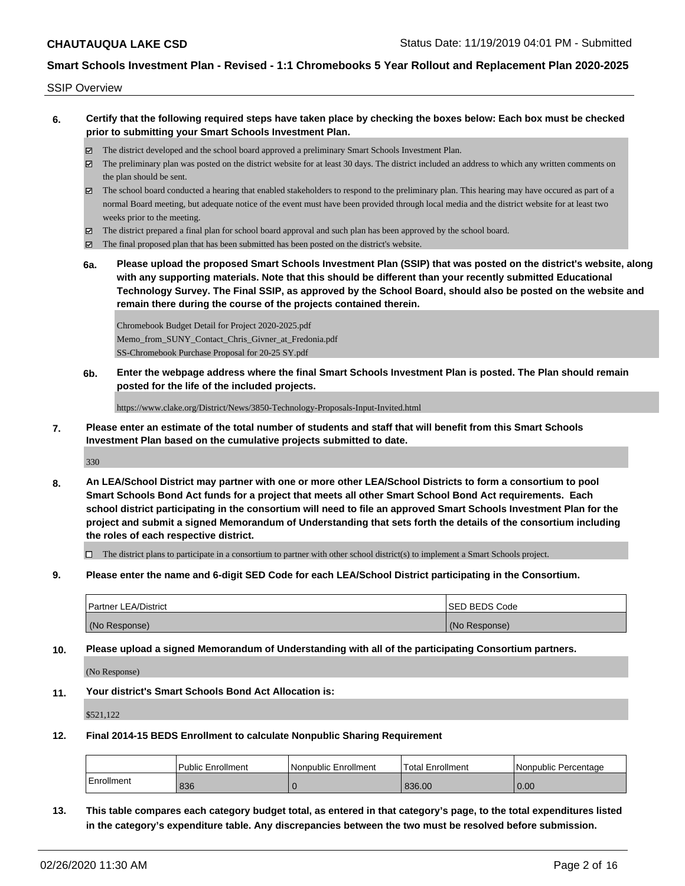SSIP Overview

- **6. Certify that the following required steps have taken place by checking the boxes below: Each box must be checked prior to submitting your Smart Schools Investment Plan.**
	- The district developed and the school board approved a preliminary Smart Schools Investment Plan.
	- The preliminary plan was posted on the district website for at least 30 days. The district included an address to which any written comments on the plan should be sent.
	- The school board conducted a hearing that enabled stakeholders to respond to the preliminary plan. This hearing may have occured as part of a normal Board meeting, but adequate notice of the event must have been provided through local media and the district website for at least two weeks prior to the meeting.
	- The district prepared a final plan for school board approval and such plan has been approved by the school board.
	- The final proposed plan that has been submitted has been posted on the district's website.
	- **6a. Please upload the proposed Smart Schools Investment Plan (SSIP) that was posted on the district's website, along with any supporting materials. Note that this should be different than your recently submitted Educational Technology Survey. The Final SSIP, as approved by the School Board, should also be posted on the website and remain there during the course of the projects contained therein.**

Chromebook Budget Detail for Project 2020-2025.pdf Memo\_from\_SUNY\_Contact\_Chris\_Givner\_at\_Fredonia.pdf SS-Chromebook Purchase Proposal for 20-25 SY.pdf

**6b. Enter the webpage address where the final Smart Schools Investment Plan is posted. The Plan should remain posted for the life of the included projects.**

https://www.clake.org/District/News/3850-Technology-Proposals-Input-Invited.html

**7. Please enter an estimate of the total number of students and staff that will benefit from this Smart Schools Investment Plan based on the cumulative projects submitted to date.**

330

**8. An LEA/School District may partner with one or more other LEA/School Districts to form a consortium to pool Smart Schools Bond Act funds for a project that meets all other Smart School Bond Act requirements. Each school district participating in the consortium will need to file an approved Smart Schools Investment Plan for the project and submit a signed Memorandum of Understanding that sets forth the details of the consortium including the roles of each respective district.**

 $\Box$  The district plans to participate in a consortium to partner with other school district(s) to implement a Smart Schools project.

**9. Please enter the name and 6-digit SED Code for each LEA/School District participating in the Consortium.**

| <b>Partner LEA/District</b> | <b>ISED BEDS Code</b> |
|-----------------------------|-----------------------|
| (No Response)               | (No Response)         |

**10. Please upload a signed Memorandum of Understanding with all of the participating Consortium partners.**

(No Response)

**11. Your district's Smart Schools Bond Act Allocation is:**

\$521,122

**12. Final 2014-15 BEDS Enrollment to calculate Nonpublic Sharing Requirement**

|                   | <b>Public Enrollment</b> | Nonpublic Enrollment | Total Enrollment | <b>Nonpublic Percentage</b> |
|-------------------|--------------------------|----------------------|------------------|-----------------------------|
| <b>Enrollment</b> | 836                      |                      | 836.00           | 0.00                        |

**13. This table compares each category budget total, as entered in that category's page, to the total expenditures listed in the category's expenditure table. Any discrepancies between the two must be resolved before submission.**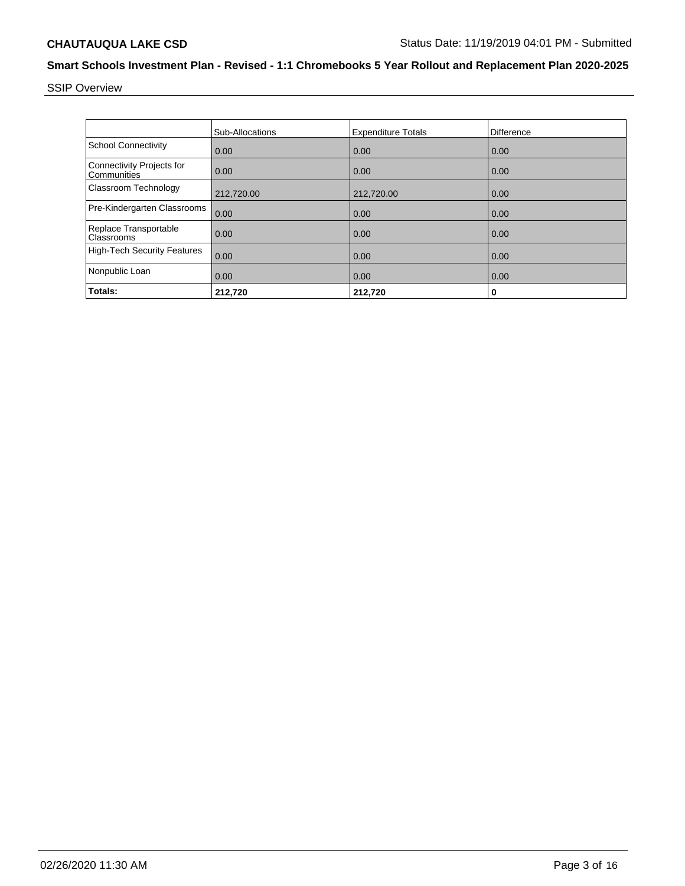SSIP Overview

|                                                 | <b>Sub-Allocations</b> | <b>Expenditure Totals</b> | Difference |
|-------------------------------------------------|------------------------|---------------------------|------------|
| <b>School Connectivity</b>                      | 0.00                   | 0.00                      | 0.00       |
| <b>Connectivity Projects for</b><br>Communities | 0.00                   | 0.00                      | 0.00       |
| Classroom Technology                            | 212,720.00             | 212,720.00                | 0.00       |
| Pre-Kindergarten Classrooms                     | 0.00                   | 0.00                      | 0.00       |
| Replace Transportable<br>Classrooms             | 0.00                   | 0.00                      | 0.00       |
| <b>High-Tech Security Features</b>              | 0.00                   | 0.00                      | 0.00       |
| Nonpublic Loan                                  | 0.00                   | 0.00                      | 0.00       |
| Totals:                                         | 212,720                | 212,720                   | 0          |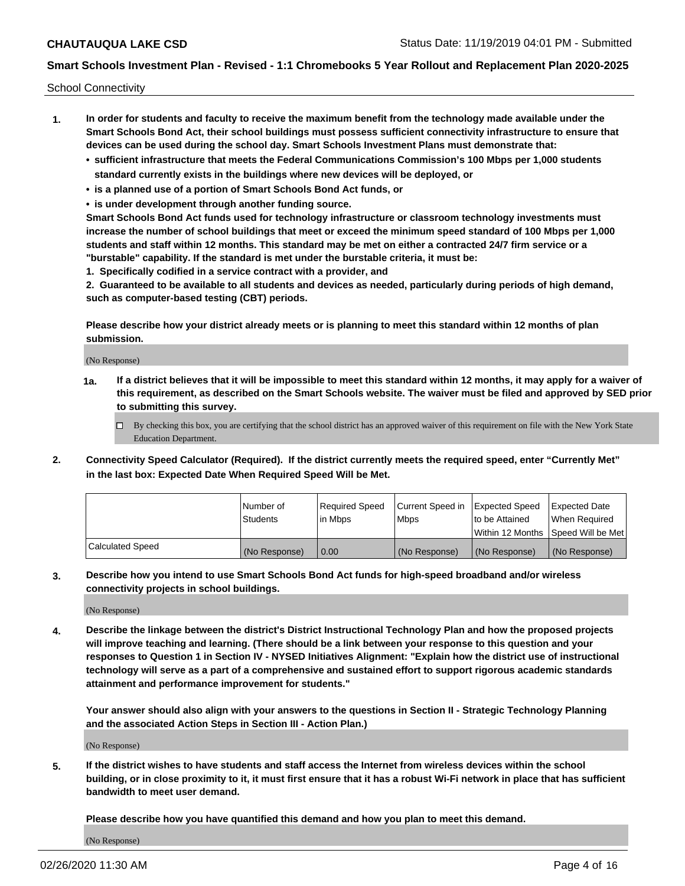School Connectivity

- **1. In order for students and faculty to receive the maximum benefit from the technology made available under the Smart Schools Bond Act, their school buildings must possess sufficient connectivity infrastructure to ensure that devices can be used during the school day. Smart Schools Investment Plans must demonstrate that:**
	- **• sufficient infrastructure that meets the Federal Communications Commission's 100 Mbps per 1,000 students standard currently exists in the buildings where new devices will be deployed, or**
	- **• is a planned use of a portion of Smart Schools Bond Act funds, or**
	- **• is under development through another funding source.**

**Smart Schools Bond Act funds used for technology infrastructure or classroom technology investments must increase the number of school buildings that meet or exceed the minimum speed standard of 100 Mbps per 1,000 students and staff within 12 months. This standard may be met on either a contracted 24/7 firm service or a "burstable" capability. If the standard is met under the burstable criteria, it must be:**

**1. Specifically codified in a service contract with a provider, and**

**2. Guaranteed to be available to all students and devices as needed, particularly during periods of high demand, such as computer-based testing (CBT) periods.**

**Please describe how your district already meets or is planning to meet this standard within 12 months of plan submission.**

(No Response)

**1a. If a district believes that it will be impossible to meet this standard within 12 months, it may apply for a waiver of this requirement, as described on the Smart Schools website. The waiver must be filed and approved by SED prior to submitting this survey.**

 $\Box$  By checking this box, you are certifying that the school district has an approved waiver of this requirement on file with the New York State Education Department.

**2. Connectivity Speed Calculator (Required). If the district currently meets the required speed, enter "Currently Met" in the last box: Expected Date When Required Speed Will be Met.**

|                  | l Number of     | Reauired Speed | Current Speed in | Expected Speed | Expected Date                        |
|------------------|-----------------|----------------|------------------|----------------|--------------------------------------|
|                  | <b>Students</b> | l in Mbps      | l Mbps           | to be Attained | When Required                        |
|                  |                 |                |                  |                | Within 12 Months   Speed Will be Met |
| Calculated Speed | (No Response)   | 0.00           | (No Response)    | (No Response)  | (No Response)                        |

**3. Describe how you intend to use Smart Schools Bond Act funds for high-speed broadband and/or wireless connectivity projects in school buildings.**

(No Response)

**4. Describe the linkage between the district's District Instructional Technology Plan and how the proposed projects will improve teaching and learning. (There should be a link between your response to this question and your responses to Question 1 in Section IV - NYSED Initiatives Alignment: "Explain how the district use of instructional technology will serve as a part of a comprehensive and sustained effort to support rigorous academic standards attainment and performance improvement for students."** 

**Your answer should also align with your answers to the questions in Section II - Strategic Technology Planning and the associated Action Steps in Section III - Action Plan.)**

(No Response)

**5. If the district wishes to have students and staff access the Internet from wireless devices within the school building, or in close proximity to it, it must first ensure that it has a robust Wi-Fi network in place that has sufficient bandwidth to meet user demand.**

**Please describe how you have quantified this demand and how you plan to meet this demand.**

(No Response)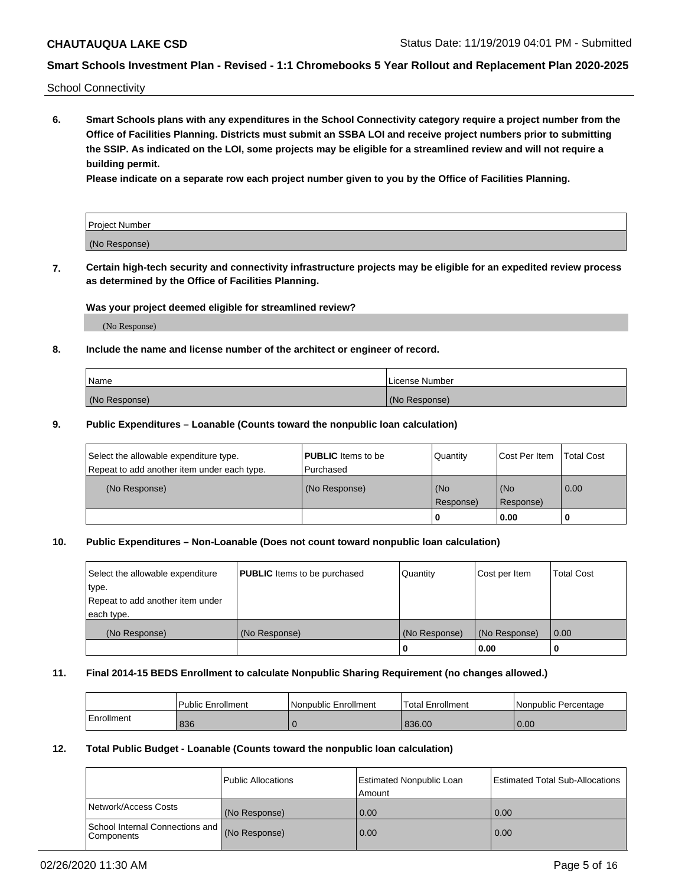School Connectivity

**6. Smart Schools plans with any expenditures in the School Connectivity category require a project number from the Office of Facilities Planning. Districts must submit an SSBA LOI and receive project numbers prior to submitting the SSIP. As indicated on the LOI, some projects may be eligible for a streamlined review and will not require a building permit.**

**Please indicate on a separate row each project number given to you by the Office of Facilities Planning.**

| Project Number |  |
|----------------|--|
| (No Response)  |  |

**7. Certain high-tech security and connectivity infrastructure projects may be eligible for an expedited review process as determined by the Office of Facilities Planning.**

#### **Was your project deemed eligible for streamlined review?**

(No Response)

### **8. Include the name and license number of the architect or engineer of record.**

| Name          | License Number |
|---------------|----------------|
| (No Response) | (No Response)  |

#### **9. Public Expenditures – Loanable (Counts toward the nonpublic loan calculation)**

| Select the allowable expenditure type.<br>Repeat to add another item under each type. | <b>PUBLIC</b> Items to be<br>l Purchased | Quantity           | Cost Per Item    | <b>Total Cost</b> |
|---------------------------------------------------------------------------------------|------------------------------------------|--------------------|------------------|-------------------|
| (No Response)                                                                         | (No Response)                            | l (No<br>Response) | (No<br>Response) | $\overline{0.00}$ |
|                                                                                       |                                          | 0                  | 0.00             |                   |

## **10. Public Expenditures – Non-Loanable (Does not count toward nonpublic loan calculation)**

| Select the allowable expenditure<br>type.<br>Repeat to add another item under<br>each type. | <b>PUBLIC</b> Items to be purchased | Quantity      | Cost per Item | <b>Total Cost</b> |
|---------------------------------------------------------------------------------------------|-------------------------------------|---------------|---------------|-------------------|
| (No Response)                                                                               | (No Response)                       | (No Response) | (No Response) | 0.00              |
|                                                                                             |                                     |               | 0.00          |                   |

#### **11. Final 2014-15 BEDS Enrollment to calculate Nonpublic Sharing Requirement (no changes allowed.)**

|            | Public Enrollment | l Nonpublic Enrollment | <b>Total Enrollment</b> | Nonpublic Percentage |
|------------|-------------------|------------------------|-------------------------|----------------------|
| Enrollment | 836               |                        | 836.00                  | 0.00                 |

#### **12. Total Public Budget - Loanable (Counts toward the nonpublic loan calculation)**

|                                               | Public Allocations | <b>Estimated Nonpublic Loan</b><br>Amount | Estimated Total Sub-Allocations |
|-----------------------------------------------|--------------------|-------------------------------------------|---------------------------------|
| Network/Access Costs                          | (No Response)      | 0.00                                      | 0.00                            |
| School Internal Connections and<br>Components | (No Response)      | 0.00                                      | 0.00                            |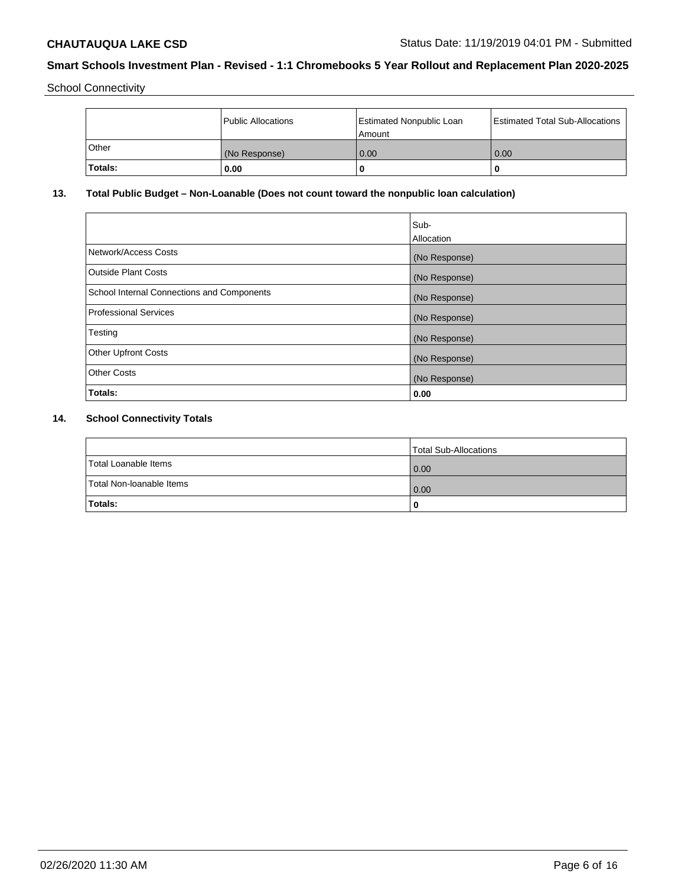School Connectivity

|                | Public Allocations | <b>Estimated Nonpublic Loan</b><br>l Amount | <b>Estimated Total Sub-Allocations</b> |
|----------------|--------------------|---------------------------------------------|----------------------------------------|
| l Other        | (No Response)      | 0.00                                        | 0.00                                   |
| <b>Totals:</b> | 0.00               | 0                                           |                                        |

## **13. Total Public Budget – Non-Loanable (Does not count toward the nonpublic loan calculation)**

|                                                   | Sub-<br>Allocation |
|---------------------------------------------------|--------------------|
| Network/Access Costs                              | (No Response)      |
| <b>Outside Plant Costs</b>                        | (No Response)      |
| <b>School Internal Connections and Components</b> | (No Response)      |
| Professional Services                             | (No Response)      |
| Testing                                           | (No Response)      |
| <b>Other Upfront Costs</b>                        | (No Response)      |
| <b>Other Costs</b>                                | (No Response)      |
| <b>Totals:</b>                                    | 0.00               |

# **14. School Connectivity Totals**

|                          | Total Sub-Allocations |
|--------------------------|-----------------------|
| Total Loanable Items     | 0.00                  |
| Total Non-Ioanable Items | 0.00                  |
| Totals:                  | 0                     |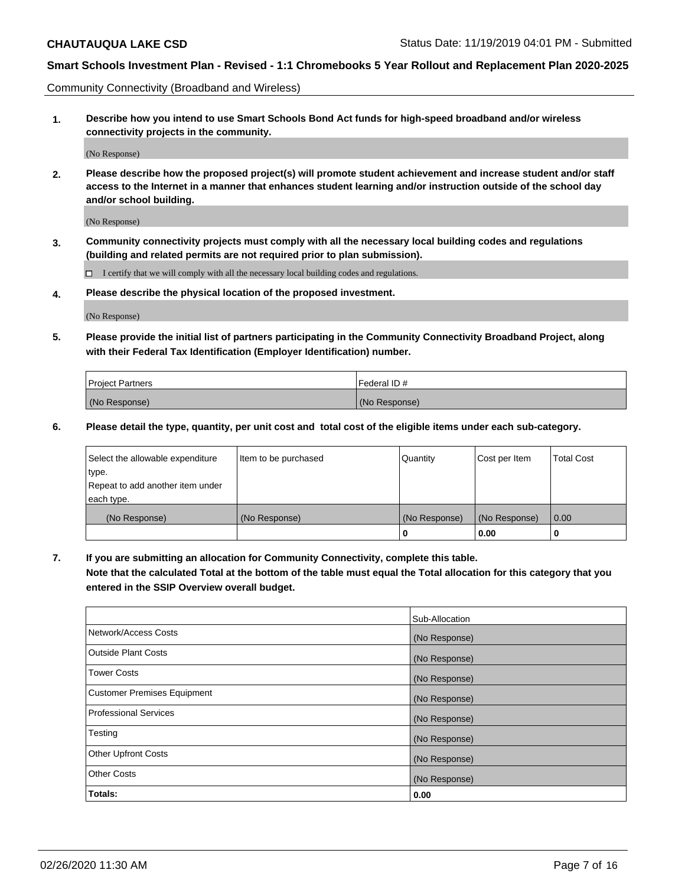Community Connectivity (Broadband and Wireless)

**1. Describe how you intend to use Smart Schools Bond Act funds for high-speed broadband and/or wireless connectivity projects in the community.**

(No Response)

**2. Please describe how the proposed project(s) will promote student achievement and increase student and/or staff access to the Internet in a manner that enhances student learning and/or instruction outside of the school day and/or school building.**

(No Response)

**3. Community connectivity projects must comply with all the necessary local building codes and regulations (building and related permits are not required prior to plan submission).**

 $\Box$  I certify that we will comply with all the necessary local building codes and regulations.

**4. Please describe the physical location of the proposed investment.**

(No Response)

**5. Please provide the initial list of partners participating in the Community Connectivity Broadband Project, along with their Federal Tax Identification (Employer Identification) number.**

| <b>Project Partners</b> | l Federal ID # |
|-------------------------|----------------|
| (No Response)           | (No Response)  |

**6. Please detail the type, quantity, per unit cost and total cost of the eligible items under each sub-category.**

| Select the allowable expenditure | Item to be purchased | Quantity      | Cost per Item | <b>Total Cost</b> |
|----------------------------------|----------------------|---------------|---------------|-------------------|
| type.                            |                      |               |               |                   |
| Repeat to add another item under |                      |               |               |                   |
| each type.                       |                      |               |               |                   |
| (No Response)                    | (No Response)        | (No Response) | (No Response) | 0.00              |
|                                  |                      | o             | 0.00          |                   |

**7. If you are submitting an allocation for Community Connectivity, complete this table.**

**Note that the calculated Total at the bottom of the table must equal the Total allocation for this category that you entered in the SSIP Overview overall budget.**

|                                    | Sub-Allocation |
|------------------------------------|----------------|
| Network/Access Costs               | (No Response)  |
| Outside Plant Costs                | (No Response)  |
| <b>Tower Costs</b>                 | (No Response)  |
| <b>Customer Premises Equipment</b> | (No Response)  |
| <b>Professional Services</b>       | (No Response)  |
| Testing                            | (No Response)  |
| <b>Other Upfront Costs</b>         | (No Response)  |
| <b>Other Costs</b>                 | (No Response)  |
| Totals:                            | 0.00           |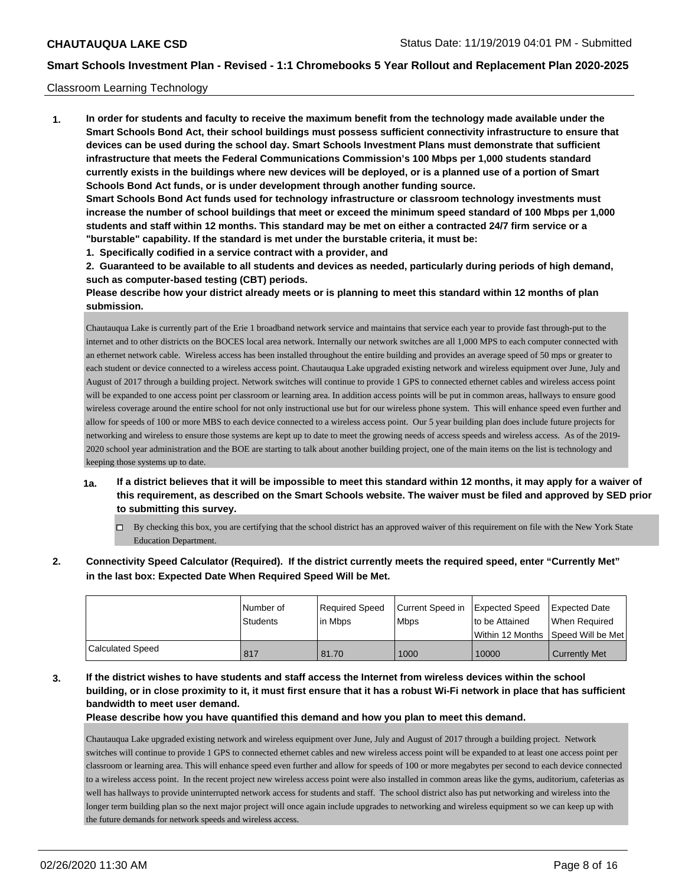#### Classroom Learning Technology

**1. In order for students and faculty to receive the maximum benefit from the technology made available under the Smart Schools Bond Act, their school buildings must possess sufficient connectivity infrastructure to ensure that devices can be used during the school day. Smart Schools Investment Plans must demonstrate that sufficient infrastructure that meets the Federal Communications Commission's 100 Mbps per 1,000 students standard currently exists in the buildings where new devices will be deployed, or is a planned use of a portion of Smart Schools Bond Act funds, or is under development through another funding source. Smart Schools Bond Act funds used for technology infrastructure or classroom technology investments must increase the number of school buildings that meet or exceed the minimum speed standard of 100 Mbps per 1,000 students and staff within 12 months. This standard may be met on either a contracted 24/7 firm service or a "burstable" capability. If the standard is met under the burstable criteria, it must be:**

**1. Specifically codified in a service contract with a provider, and**

**2. Guaranteed to be available to all students and devices as needed, particularly during periods of high demand, such as computer-based testing (CBT) periods.**

**Please describe how your district already meets or is planning to meet this standard within 12 months of plan submission.**

Chautauqua Lake is currently part of the Erie 1 broadband network service and maintains that service each year to provide fast through-put to the internet and to other districts on the BOCES local area network. Internally our network switches are all 1,000 MPS to each computer connected with an ethernet network cable. Wireless access has been installed throughout the entire building and provides an average speed of 50 mps or greater to each student or device connected to a wireless access point. Chautauqua Lake upgraded existing network and wireless equipment over June, July and August of 2017 through a building project. Network switches will continue to provide 1 GPS to connected ethernet cables and wireless access point will be expanded to one access point per classroom or learning area. In addition access points will be put in common areas, hallways to ensure good wireless coverage around the entire school for not only instructional use but for our wireless phone system. This will enhance speed even further and allow for speeds of 100 or more MBS to each device connected to a wireless access point. Our 5 year building plan does include future projects for networking and wireless to ensure those systems are kept up to date to meet the growing needs of access speeds and wireless access. As of the 2019- 2020 school year administration and the BOE are starting to talk about another building project, one of the main items on the list is technology and keeping those systems up to date.

- **1a. If a district believes that it will be impossible to meet this standard within 12 months, it may apply for a waiver of this requirement, as described on the Smart Schools website. The waiver must be filed and approved by SED prior to submitting this survey.**
	- By checking this box, you are certifying that the school district has an approved waiver of this requirement on file with the New York State Education Department.
- **2. Connectivity Speed Calculator (Required). If the district currently meets the required speed, enter "Currently Met" in the last box: Expected Date When Required Speed Will be Met.**

|                  | l Number of | Required Speed | Current Speed in Expected Speed |                                      | <b>Expected Date</b>  |
|------------------|-------------|----------------|---------------------------------|--------------------------------------|-----------------------|
|                  | Students    | l in Mbps      | <b>Mbps</b>                     | to be Attained                       | <b>IWhen Required</b> |
|                  |             |                |                                 | Within 12 Months   Speed Will be Met |                       |
| Calculated Speed | 817         | 81.70          | 1000                            | 10000                                | <b>Currently Met</b>  |

**3. If the district wishes to have students and staff access the Internet from wireless devices within the school building, or in close proximity to it, it must first ensure that it has a robust Wi-Fi network in place that has sufficient bandwidth to meet user demand.**

#### **Please describe how you have quantified this demand and how you plan to meet this demand.**

Chautauqua Lake upgraded existing network and wireless equipment over June, July and August of 2017 through a building project. Network switches will continue to provide 1 GPS to connected ethernet cables and new wireless access point will be expanded to at least one access point per classroom or learning area. This will enhance speed even further and allow for speeds of 100 or more megabytes per second to each device connected to a wireless access point. In the recent project new wireless access point were also installed in common areas like the gyms, auditorium, cafeterias as well has hallways to provide uninterrupted network access for students and staff. The school district also has put networking and wireless into the longer term building plan so the next major project will once again include upgrades to networking and wireless equipment so we can keep up with the future demands for network speeds and wireless access.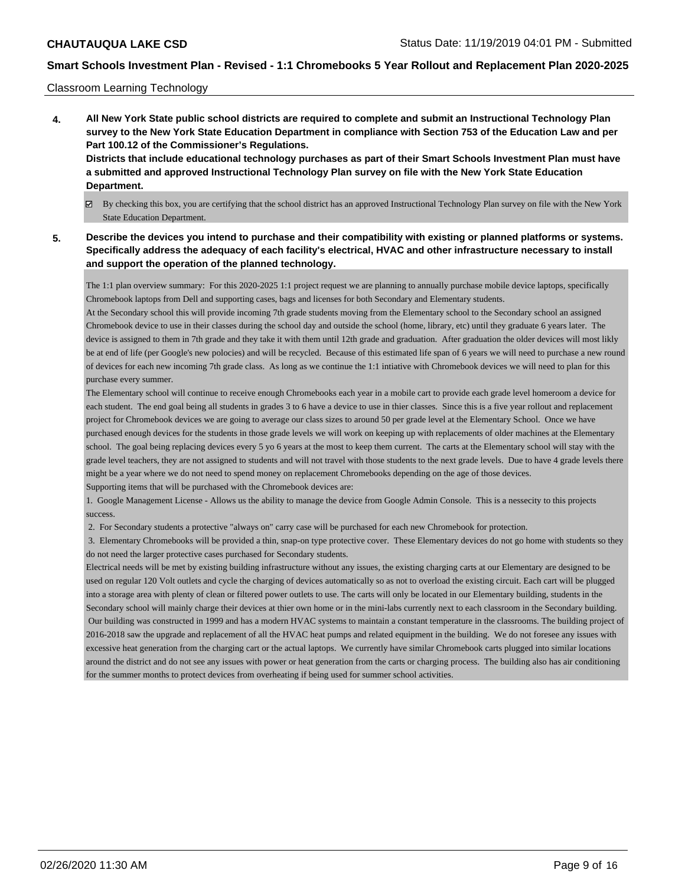#### Classroom Learning Technology

**4. All New York State public school districts are required to complete and submit an Instructional Technology Plan survey to the New York State Education Department in compliance with Section 753 of the Education Law and per Part 100.12 of the Commissioner's Regulations. Districts that include educational technology purchases as part of their Smart Schools Investment Plan must have**

### **a submitted and approved Instructional Technology Plan survey on file with the New York State Education Department.**

- By checking this box, you are certifying that the school district has an approved Instructional Technology Plan survey on file with the New York State Education Department.
- **5. Describe the devices you intend to purchase and their compatibility with existing or planned platforms or systems. Specifically address the adequacy of each facility's electrical, HVAC and other infrastructure necessary to install and support the operation of the planned technology.**

The 1:1 plan overview summary: For this 2020-2025 1:1 project request we are planning to annually purchase mobile device laptops, specifically Chromebook laptops from Dell and supporting cases, bags and licenses for both Secondary and Elementary students.

At the Secondary school this will provide incoming 7th grade students moving from the Elementary school to the Secondary school an assigned Chromebook device to use in their classes during the school day and outside the school (home, library, etc) until they graduate 6 years later. The device is assigned to them in 7th grade and they take it with them until 12th grade and graduation. After graduation the older devices will most likly be at end of life (per Google's new polocies) and will be recycled. Because of this estimated life span of 6 years we will need to purchase a new round of devices for each new incoming 7th grade class. As long as we continue the 1:1 intiative with Chromebook devices we will need to plan for this purchase every summer.

The Elementary school will continue to receive enough Chromebooks each year in a mobile cart to provide each grade level homeroom a device for each student. The end goal being all students in grades 3 to 6 have a device to use in thier classes. Since this is a five year rollout and replacement project for Chromebook devices we are going to average our class sizes to around 50 per grade level at the Elementary School. Once we have purchased enough devices for the students in those grade levels we will work on keeping up with replacements of older machines at the Elementary school. The goal being replacing devices every 5 yo 6 years at the most to keep them current. The carts at the Elementary school will stay with the grade level teachers, they are not assigned to students and will not travel with those students to the next grade levels. Due to have 4 grade levels there might be a year where we do not need to spend money on replacement Chromebooks depending on the age of those devices. Supporting items that will be purchased with the Chromebook devices are:

1. Google Management License - Allows us the ability to manage the device from Google Admin Console. This is a nessecity to this projects success.

2. For Secondary students a protective "always on" carry case will be purchased for each new Chromebook for protection.

 3. Elementary Chromebooks will be provided a thin, snap-on type protective cover. These Elementary devices do not go home with students so they do not need the larger protective cases purchased for Secondary students.

Electrical needs will be met by existing building infrastructure without any issues, the existing charging carts at our Elementary are designed to be used on regular 120 Volt outlets and cycle the charging of devices automatically so as not to overload the existing circuit. Each cart will be plugged into a storage area with plenty of clean or filtered power outlets to use. The carts will only be located in our Elementary building, students in the Secondary school will mainly charge their devices at thier own home or in the mini-labs currently next to each classroom in the Secondary building. Our building was constructed in 1999 and has a modern HVAC systems to maintain a constant temperature in the classrooms. The building project of 2016-2018 saw the upgrade and replacement of all the HVAC heat pumps and related equipment in the building. We do not foresee any issues with excessive heat generation from the charging cart or the actual laptops. We currently have similar Chromebook carts plugged into similar locations around the district and do not see any issues with power or heat generation from the carts or charging process. The building also has air conditioning for the summer months to protect devices from overheating if being used for summer school activities.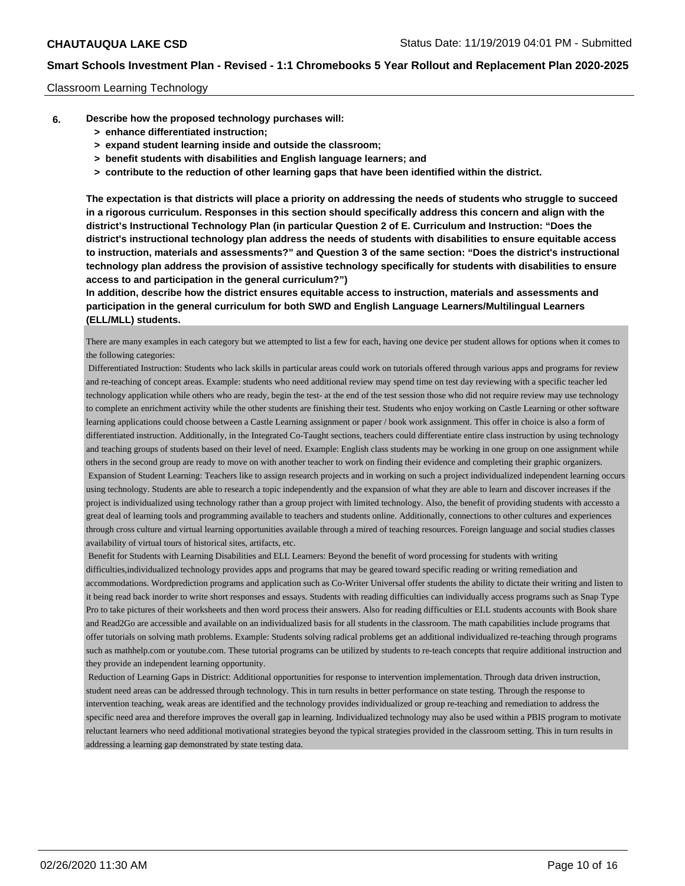#### Classroom Learning Technology

- **6. Describe how the proposed technology purchases will:**
	- **> enhance differentiated instruction;**
	- **> expand student learning inside and outside the classroom;**
	- **> benefit students with disabilities and English language learners; and**
	- **> contribute to the reduction of other learning gaps that have been identified within the district.**

**The expectation is that districts will place a priority on addressing the needs of students who struggle to succeed in a rigorous curriculum. Responses in this section should specifically address this concern and align with the district's Instructional Technology Plan (in particular Question 2 of E. Curriculum and Instruction: "Does the district's instructional technology plan address the needs of students with disabilities to ensure equitable access to instruction, materials and assessments?" and Question 3 of the same section: "Does the district's instructional technology plan address the provision of assistive technology specifically for students with disabilities to ensure access to and participation in the general curriculum?")**

**In addition, describe how the district ensures equitable access to instruction, materials and assessments and participation in the general curriculum for both SWD and English Language Learners/Multilingual Learners (ELL/MLL) students.**

There are many examples in each category but we attempted to list a few for each, having one device per student allows for options when it comes to the following categories:

 Differentiated Instruction: Students who lack skills in particular areas could work on tutorials offered through various apps and programs for review and re-teaching of concept areas. Example: students who need additional review may spend time on test day reviewing with a specific teacher led technology application while others who are ready, begin the test- at the end of the test session those who did not require review may use technology to complete an enrichment activity while the other students are finishing their test. Students who enjoy working on Castle Learning or other software learning applications could choose between a Castle Learning assignment or paper / book work assignment. This offer in choice is also a form of differentiated instruction. Additionally, in the Integrated Co-Taught sections, teachers could differentiate entire class instruction by using technology and teaching groups of students based on their level of need. Example: English class students may be working in one group on one assignment while others in the second group are ready to move on with another teacher to work on finding their evidence and completing their graphic organizers. Expansion of Student Learning: Teachers like to assign research projects and in working on such a project individualized independent learning occurs using technology. Students are able to research a topic independently and the expansion of what they are able to learn and discover increases if the project is individualized using technology rather than a group project with limited technology. Also, the benefit of providing students with accessto a great deal of learning tools and programming available to teachers and students online. Additionally, connections to other cultures and experiences through cross culture and virtual learning opportunities available through a mired of teaching resources. Foreign language and social studies classes availability of virtual tours of historical sites, artifacts, etc.

 Benefit for Students with Learning Disabilities and ELL Learners: Beyond the benefit of word processing for students with writing difficulties,individualized technology provides apps and programs that may be geared toward specific reading or writing remediation and accommodations. Wordprediction programs and application such as Co-Writer Universal offer students the ability to dictate their writing and listen to it being read back inorder to write short responses and essays. Students with reading difficulties can individually access programs such as Snap Type Pro to take pictures of their worksheets and then word process their answers. Also for reading difficulties or ELL students accounts with Book share and Read2Go are accessible and available on an individualized basis for all students in the classroom. The math capabilities include programs that offer tutorials on solving math problems. Example: Students solving radical problems get an additional individualized re-teaching through programs such as mathhelp.com or youtube.com. These tutorial programs can be utilized by students to re-teach concepts that require additional instruction and they provide an independent learning opportunity.

 Reduction of Learning Gaps in District: Additional opportunities for response to intervention implementation. Through data driven instruction, student need areas can be addressed through technology. This in turn results in better performance on state testing. Through the response to intervention teaching, weak areas are identified and the technology provides individualized or group re-teaching and remediation to address the specific need area and therefore improves the overall gap in learning. Individualized technology may also be used within a PBIS program to motivate reluctant learners who need additional motivational strategies beyond the typical strategies provided in the classroom setting. This in turn results in addressing a learning gap demonstrated by state testing data.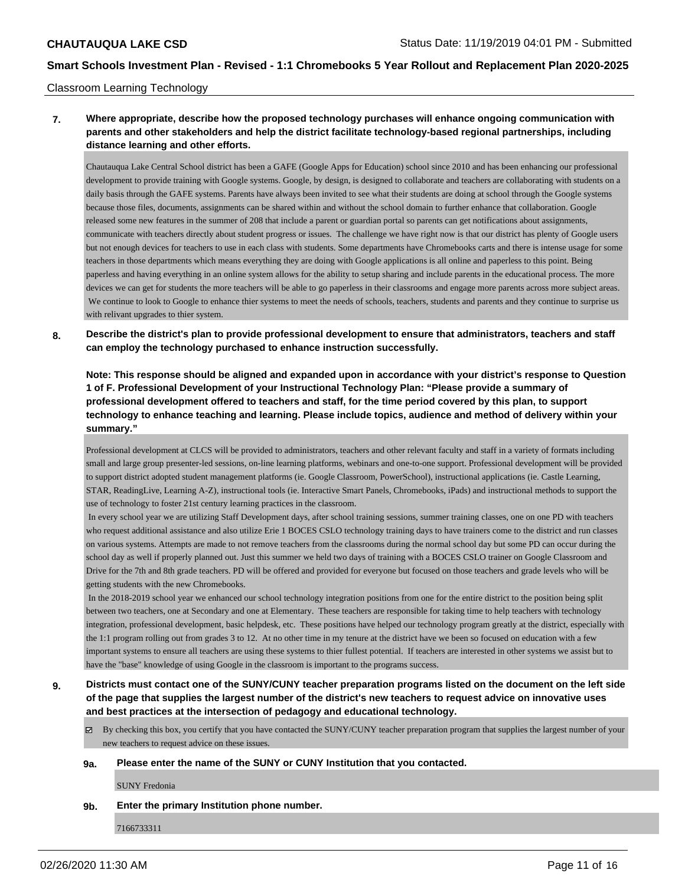#### Classroom Learning Technology

## **7. Where appropriate, describe how the proposed technology purchases will enhance ongoing communication with parents and other stakeholders and help the district facilitate technology-based regional partnerships, including distance learning and other efforts.**

Chautauqua Lake Central School district has been a GAFE (Google Apps for Education) school since 2010 and has been enhancing our professional development to provide training with Google systems. Google, by design, is designed to collaborate and teachers are collaborating with students on a daily basis through the GAFE systems. Parents have always been invited to see what their students are doing at school through the Google systems because those files, documents, assignments can be shared within and without the school domain to further enhance that collaboration. Google released some new features in the summer of 208 that include a parent or guardian portal so parents can get notifications about assignments, communicate with teachers directly about student progress or issues. The challenge we have right now is that our district has plenty of Google users but not enough devices for teachers to use in each class with students. Some departments have Chromebooks carts and there is intense usage for some teachers in those departments which means everything they are doing with Google applications is all online and paperless to this point. Being paperless and having everything in an online system allows for the ability to setup sharing and include parents in the educational process. The more devices we can get for students the more teachers will be able to go paperless in their classrooms and engage more parents across more subject areas. We continue to look to Google to enhance thier systems to meet the needs of schools, teachers, students and parents and they continue to surprise us with relivant upgrades to thier system.

**8. Describe the district's plan to provide professional development to ensure that administrators, teachers and staff can employ the technology purchased to enhance instruction successfully.**

**Note: This response should be aligned and expanded upon in accordance with your district's response to Question 1 of F. Professional Development of your Instructional Technology Plan: "Please provide a summary of professional development offered to teachers and staff, for the time period covered by this plan, to support technology to enhance teaching and learning. Please include topics, audience and method of delivery within your summary."**

Professional development at CLCS will be provided to administrators, teachers and other relevant faculty and staff in a variety of formats including small and large group presenter-led sessions, on-line learning platforms, webinars and one-to-one support. Professional development will be provided to support district adopted student management platforms (ie. Google Classroom, PowerSchool), instructional applications (ie. Castle Learning, STAR, ReadingLive, Learning A-Z), instructional tools (ie. Interactive Smart Panels, Chromebooks, iPads) and instructional methods to support the use of technology to foster 21st century learning practices in the classroom.

 In every school year we are utilizing Staff Development days, after school training sessions, summer training classes, one on one PD with teachers who request additional assistance and also utilize Erie 1 BOCES CSLO technology training days to have trainers come to the district and run classes on various systems. Attempts are made to not remove teachers from the classrooms during the normal school day but some PD can occur during the school day as well if properly planned out. Just this summer we held two days of training with a BOCES CSLO trainer on Google Classroom and Drive for the 7th and 8th grade teachers. PD will be offered and provided for everyone but focused on those teachers and grade levels who will be getting students with the new Chromebooks.

 In the 2018-2019 school year we enhanced our school technology integration positions from one for the entire district to the position being split between two teachers, one at Secondary and one at Elementary. These teachers are responsible for taking time to help teachers with technology integration, professional development, basic helpdesk, etc. These positions have helped our technology program greatly at the district, especially with the 1:1 program rolling out from grades 3 to 12. At no other time in my tenure at the district have we been so focused on education with a few important systems to ensure all teachers are using these systems to thier fullest potential. If teachers are interested in other systems we assist but to have the "base" knowledge of using Google in the classroom is important to the programs success.

**9. Districts must contact one of the SUNY/CUNY teacher preparation programs listed on the document on the left side of the page that supplies the largest number of the district's new teachers to request advice on innovative uses and best practices at the intersection of pedagogy and educational technology.**

 $\boxtimes$  By checking this box, you certify that you have contacted the SUNY/CUNY teacher preparation program that supplies the largest number of your new teachers to request advice on these issues.

#### **9a. Please enter the name of the SUNY or CUNY Institution that you contacted.**

SUNY Fredonia

**9b. Enter the primary Institution phone number.**

7166733311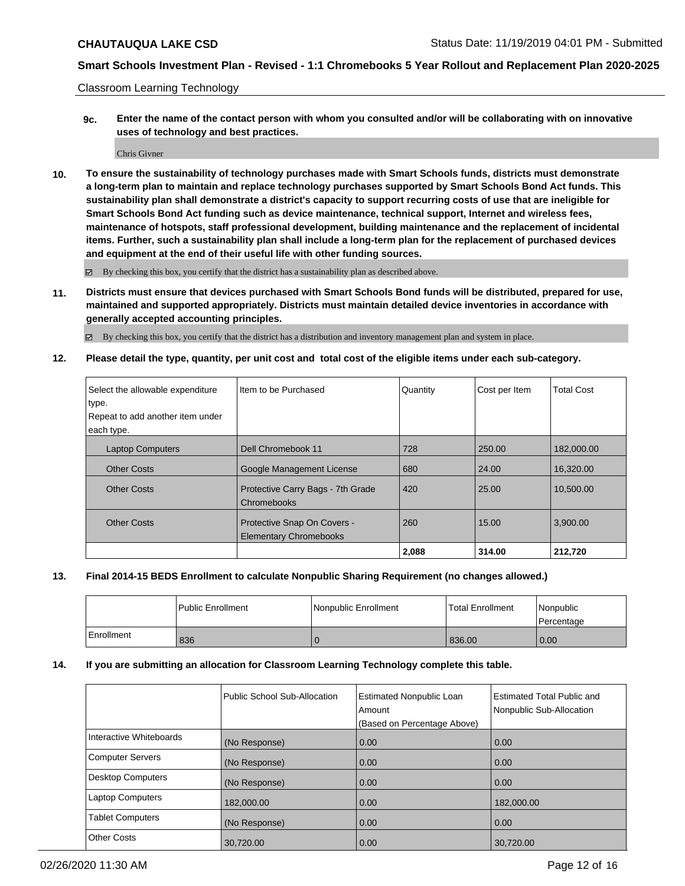Classroom Learning Technology

**9c. Enter the name of the contact person with whom you consulted and/or will be collaborating with on innovative uses of technology and best practices.**

Chris Givner

**10. To ensure the sustainability of technology purchases made with Smart Schools funds, districts must demonstrate a long-term plan to maintain and replace technology purchases supported by Smart Schools Bond Act funds. This sustainability plan shall demonstrate a district's capacity to support recurring costs of use that are ineligible for Smart Schools Bond Act funding such as device maintenance, technical support, Internet and wireless fees, maintenance of hotspots, staff professional development, building maintenance and the replacement of incidental items. Further, such a sustainability plan shall include a long-term plan for the replacement of purchased devices and equipment at the end of their useful life with other funding sources.**

By checking this box, you certify that the district has a sustainability plan as described above.

**11. Districts must ensure that devices purchased with Smart Schools Bond funds will be distributed, prepared for use, maintained and supported appropriately. Districts must maintain detailed device inventories in accordance with generally accepted accounting principles.**

By checking this box, you certify that the district has a distribution and inventory management plan and system in place.

**12. Please detail the type, quantity, per unit cost and total cost of the eligible items under each sub-category.**

| Select the allowable expenditure | Iltem to be Purchased                                        | Quantity | Cost per Item | <b>Total Cost</b> |
|----------------------------------|--------------------------------------------------------------|----------|---------------|-------------------|
| type.                            |                                                              |          |               |                   |
| Repeat to add another item under |                                                              |          |               |                   |
| each type.                       |                                                              |          |               |                   |
| <b>Laptop Computers</b>          | Dell Chromebook 11                                           | 728      | 250.00        | 182,000.00        |
| <b>Other Costs</b>               | Google Management License                                    | 680      | 24.00         | 16,320.00         |
| <b>Other Costs</b>               | Protective Carry Bags - 7th Grade<br>Chromebooks             | 420      | 25.00         | 10.500.00         |
| <b>Other Costs</b>               | Protective Snap On Covers -<br><b>Elementary Chromebooks</b> | 260      | 15.00         | 3,900.00          |
|                                  |                                                              | 2,088    | 314.00        | 212.720           |

#### **13. Final 2014-15 BEDS Enrollment to calculate Nonpublic Sharing Requirement (no changes allowed.)**

|            | l Public Enrollment | Nonpublic Enrollment | Total Enrollment | l Nonpublic<br>l Percentage |
|------------|---------------------|----------------------|------------------|-----------------------------|
| Enrollment | 836                 | U                    | 836.00           | 0.00                        |

#### **14. If you are submitting an allocation for Classroom Learning Technology complete this table.**

|                          | Public School Sub-Allocation | <b>Estimated Nonpublic Loan</b><br>Amount<br>(Based on Percentage Above) | <b>Estimated Total Public and</b><br>Nonpublic Sub-Allocation |
|--------------------------|------------------------------|--------------------------------------------------------------------------|---------------------------------------------------------------|
| Interactive Whiteboards  | (No Response)                | 0.00                                                                     | 0.00                                                          |
| <b>Computer Servers</b>  | (No Response)                | 0.00                                                                     | 0.00                                                          |
| <b>Desktop Computers</b> | (No Response)                | 0.00                                                                     | 0.00                                                          |
| <b>Laptop Computers</b>  | 182,000.00                   | 0.00                                                                     | 182,000.00                                                    |
| <b>Tablet Computers</b>  | (No Response)                | 0.00                                                                     | 0.00                                                          |
| <b>Other Costs</b>       | 30,720.00                    | 0.00                                                                     | 30,720.00                                                     |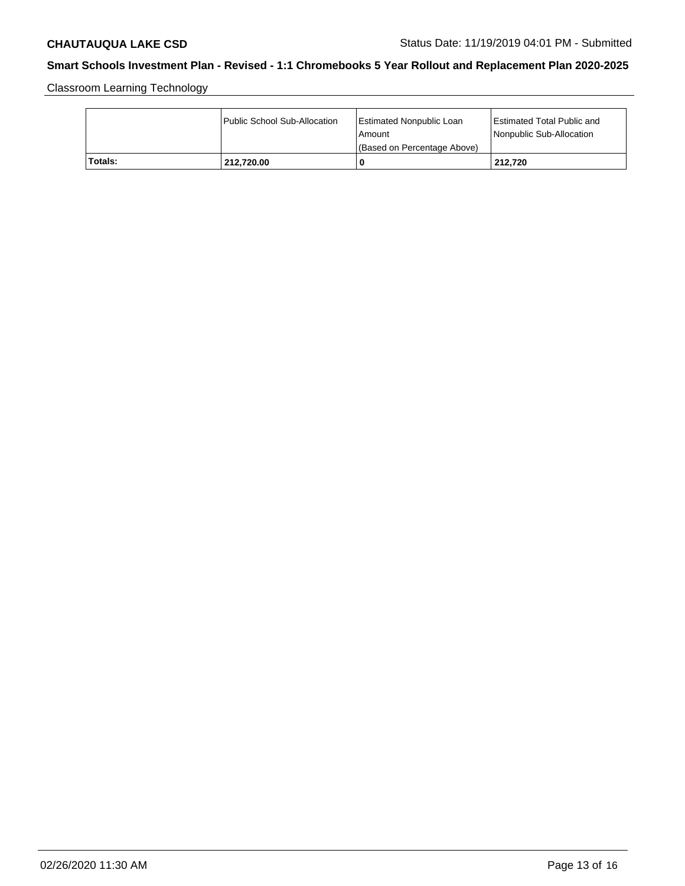Classroom Learning Technology

|         | Public School Sub-Allocation | Estimated Nonpublic Loan<br>l Amount<br>(Based on Percentage Above) | Estimated Total Public and<br>Nonpublic Sub-Allocation |
|---------|------------------------------|---------------------------------------------------------------------|--------------------------------------------------------|
| Totals: | 212.720.00                   | 0                                                                   | 212.720                                                |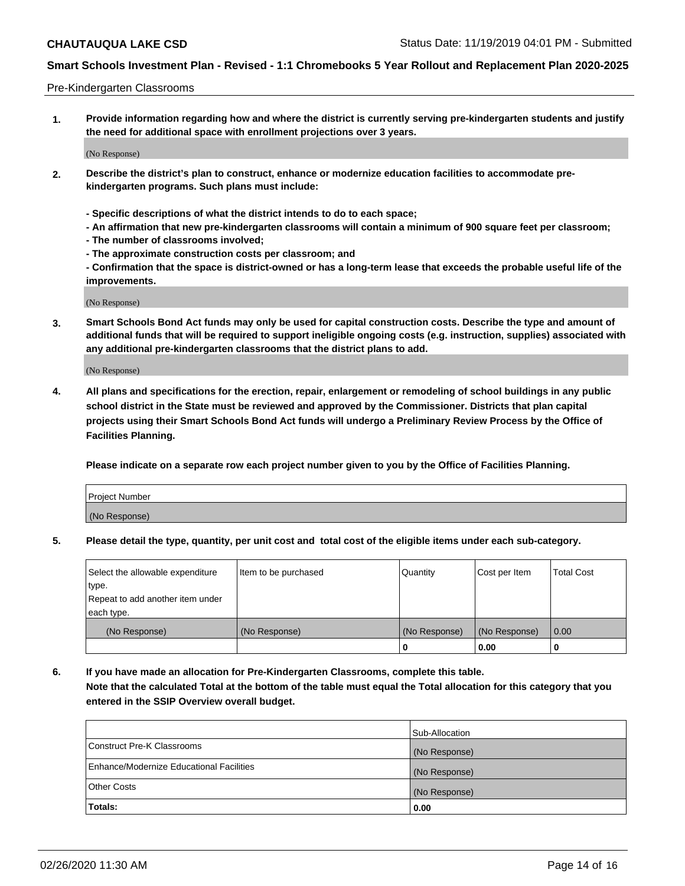#### Pre-Kindergarten Classrooms

**1. Provide information regarding how and where the district is currently serving pre-kindergarten students and justify the need for additional space with enrollment projections over 3 years.**

(No Response)

- **2. Describe the district's plan to construct, enhance or modernize education facilities to accommodate prekindergarten programs. Such plans must include:**
	- **Specific descriptions of what the district intends to do to each space;**
	- **An affirmation that new pre-kindergarten classrooms will contain a minimum of 900 square feet per classroom;**
	- **The number of classrooms involved;**
	- **The approximate construction costs per classroom; and**
	- **Confirmation that the space is district-owned or has a long-term lease that exceeds the probable useful life of the improvements.**

(No Response)

**3. Smart Schools Bond Act funds may only be used for capital construction costs. Describe the type and amount of additional funds that will be required to support ineligible ongoing costs (e.g. instruction, supplies) associated with any additional pre-kindergarten classrooms that the district plans to add.**

(No Response)

**4. All plans and specifications for the erection, repair, enlargement or remodeling of school buildings in any public school district in the State must be reviewed and approved by the Commissioner. Districts that plan capital projects using their Smart Schools Bond Act funds will undergo a Preliminary Review Process by the Office of Facilities Planning.**

**Please indicate on a separate row each project number given to you by the Office of Facilities Planning.**

| Project Number |  |
|----------------|--|
| (No Response)  |  |
|                |  |

**5. Please detail the type, quantity, per unit cost and total cost of the eligible items under each sub-category.**

| Select the allowable expenditure | Item to be purchased | Quantity      | Cost per Item | <b>Total Cost</b> |
|----------------------------------|----------------------|---------------|---------------|-------------------|
| type.                            |                      |               |               |                   |
| Repeat to add another item under |                      |               |               |                   |
| each type.                       |                      |               |               |                   |
| (No Response)                    | (No Response)        | (No Response) | (No Response) | 0.00              |
|                                  |                      | U             | 0.00          |                   |

**6. If you have made an allocation for Pre-Kindergarten Classrooms, complete this table. Note that the calculated Total at the bottom of the table must equal the Total allocation for this category that you entered in the SSIP Overview overall budget.**

|                                          | Sub-Allocation |
|------------------------------------------|----------------|
| Construct Pre-K Classrooms               | (No Response)  |
| Enhance/Modernize Educational Facilities | (No Response)  |
| <b>Other Costs</b>                       | (No Response)  |
| Totals:                                  | 0.00           |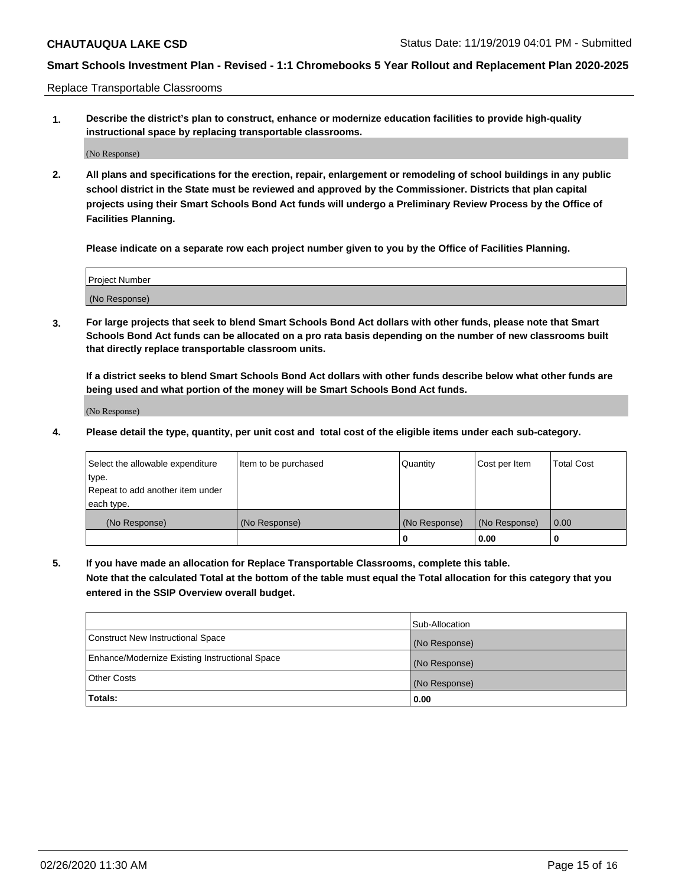Replace Transportable Classrooms

**1. Describe the district's plan to construct, enhance or modernize education facilities to provide high-quality instructional space by replacing transportable classrooms.**

(No Response)

**2. All plans and specifications for the erection, repair, enlargement or remodeling of school buildings in any public school district in the State must be reviewed and approved by the Commissioner. Districts that plan capital projects using their Smart Schools Bond Act funds will undergo a Preliminary Review Process by the Office of Facilities Planning.**

**Please indicate on a separate row each project number given to you by the Office of Facilities Planning.**

| Project Number |  |
|----------------|--|
|                |  |
|                |  |
|                |  |
| (No Response)  |  |
|                |  |
|                |  |

**3. For large projects that seek to blend Smart Schools Bond Act dollars with other funds, please note that Smart Schools Bond Act funds can be allocated on a pro rata basis depending on the number of new classrooms built that directly replace transportable classroom units.**

**If a district seeks to blend Smart Schools Bond Act dollars with other funds describe below what other funds are being used and what portion of the money will be Smart Schools Bond Act funds.**

(No Response)

**4. Please detail the type, quantity, per unit cost and total cost of the eligible items under each sub-category.**

| Select the allowable expenditure | Item to be purchased | Quantity      | Cost per Item | Total Cost |
|----------------------------------|----------------------|---------------|---------------|------------|
| ∣type.                           |                      |               |               |            |
| Repeat to add another item under |                      |               |               |            |
| each type.                       |                      |               |               |            |
| (No Response)                    | (No Response)        | (No Response) | (No Response) | 0.00       |
|                                  |                      | u             | 0.00          |            |

**5. If you have made an allocation for Replace Transportable Classrooms, complete this table. Note that the calculated Total at the bottom of the table must equal the Total allocation for this category that you entered in the SSIP Overview overall budget.**

|                                                | Sub-Allocation |
|------------------------------------------------|----------------|
| Construct New Instructional Space              | (No Response)  |
| Enhance/Modernize Existing Instructional Space | (No Response)  |
| Other Costs                                    | (No Response)  |
| Totals:                                        | 0.00           |